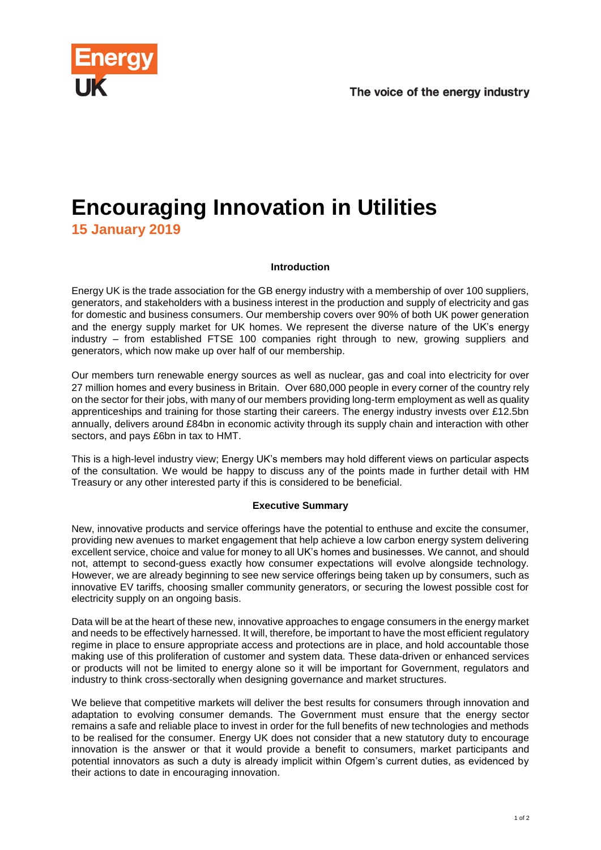

# **Encouraging Innovation in Utilities 15 January 2019**

# **Introduction**

Energy UK is the trade association for the GB energy industry with a membership of over 100 suppliers, generators, and stakeholders with a business interest in the production and supply of electricity and gas for domestic and business consumers. Our membership covers over 90% of both UK power generation and the energy supply market for UK homes. We represent the diverse nature of the UK's energy industry – from established FTSE 100 companies right through to new, growing suppliers and generators, which now make up over half of our membership.

Our members turn renewable energy sources as well as nuclear, gas and coal into electricity for over 27 million homes and every business in Britain. Over 680,000 people in every corner of the country rely on the sector for their jobs, with many of our members providing long-term employment as well as quality apprenticeships and training for those starting their careers. The energy industry invests over £12.5bn annually, delivers around £84bn in economic activity through its supply chain and interaction with other sectors, and pays £6bn in tax to HMT.

This is a high-level industry view; Energy UK's members may hold different views on particular aspects of the consultation. We would be happy to discuss any of the points made in further detail with HM Treasury or any other interested party if this is considered to be beneficial.

# **Executive Summary**

New, innovative products and service offerings have the potential to enthuse and excite the consumer, providing new avenues to market engagement that help achieve a low carbon energy system delivering excellent service, choice and value for money to all UK's homes and businesses. We cannot, and should not, attempt to second-guess exactly how consumer expectations will evolve alongside technology. However, we are already beginning to see new service offerings being taken up by consumers, such as innovative EV tariffs, choosing smaller community generators, or securing the lowest possible cost for electricity supply on an ongoing basis.

Data will be at the heart of these new, innovative approaches to engage consumers in the energy market and needs to be effectively harnessed. It will, therefore, be important to have the most efficient regulatory regime in place to ensure appropriate access and protections are in place, and hold accountable those making use of this proliferation of customer and system data. These data-driven or enhanced services or products will not be limited to energy alone so it will be important for Government, regulators and industry to think cross-sectorally when designing governance and market structures.

We believe that competitive markets will deliver the best results for consumers through innovation and adaptation to evolving consumer demands. The Government must ensure that the energy sector remains a safe and reliable place to invest in order for the full benefits of new technologies and methods to be realised for the consumer. Energy UK does not consider that a new statutory duty to encourage innovation is the answer or that it would provide a benefit to consumers, market participants and potential innovators as such a duty is already implicit within Ofgem's current duties, as evidenced by their actions to date in encouraging innovation.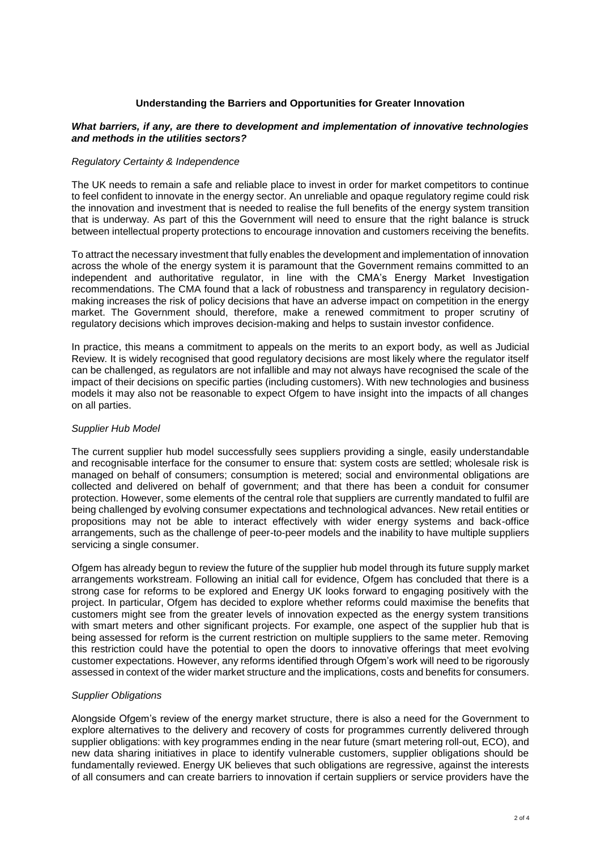# **Understanding the Barriers and Opportunities for Greater Innovation**

## *What barriers, if any, are there to development and implementation of innovative technologies and methods in the utilities sectors?*

## *Regulatory Certainty & Independence*

The UK needs to remain a safe and reliable place to invest in order for market competitors to continue to feel confident to innovate in the energy sector. An unreliable and opaque regulatory regime could risk the innovation and investment that is needed to realise the full benefits of the energy system transition that is underway. As part of this the Government will need to ensure that the right balance is struck between intellectual property protections to encourage innovation and customers receiving the benefits.

To attract the necessary investment that fully enables the development and implementation of innovation across the whole of the energy system it is paramount that the Government remains committed to an independent and authoritative regulator, in line with the CMA's Energy Market Investigation recommendations. The CMA found that a lack of robustness and transparency in regulatory decisionmaking increases the risk of policy decisions that have an adverse impact on competition in the energy market. The Government should, therefore, make a renewed commitment to proper scrutiny of regulatory decisions which improves decision-making and helps to sustain investor confidence.

In practice, this means a commitment to appeals on the merits to an export body, as well as Judicial Review. It is widely recognised that good regulatory decisions are most likely where the regulator itself can be challenged, as regulators are not infallible and may not always have recognised the scale of the impact of their decisions on specific parties (including customers). With new technologies and business models it may also not be reasonable to expect Ofgem to have insight into the impacts of all changes on all parties.

#### *Supplier Hub Model*

The current supplier hub model successfully sees suppliers providing a single, easily understandable and recognisable interface for the consumer to ensure that: system costs are settled; wholesale risk is managed on behalf of consumers; consumption is metered; social and environmental obligations are collected and delivered on behalf of government; and that there has been a conduit for consumer protection. However, some elements of the central role that suppliers are currently mandated to fulfil are being challenged by evolving consumer expectations and technological advances. New retail entities or propositions may not be able to interact effectively with wider energy systems and back-office arrangements, such as the challenge of peer-to-peer models and the inability to have multiple suppliers servicing a single consumer.

Ofgem has already begun to review the future of the supplier hub model through its future supply market arrangements workstream. Following an initial call for evidence, Ofgem has concluded that there is a strong case for reforms to be explored and Energy UK looks forward to engaging positively with the project. In particular, Ofgem has decided to explore whether reforms could maximise the benefits that customers might see from the greater levels of innovation expected as the energy system transitions with smart meters and other significant projects. For example, one aspect of the supplier hub that is being assessed for reform is the current restriction on multiple suppliers to the same meter. Removing this restriction could have the potential to open the doors to innovative offerings that meet evolving customer expectations. However, any reforms identified through Ofgem's work will need to be rigorously assessed in context of the wider market structure and the implications, costs and benefits for consumers.

#### *Supplier Obligations*

Alongside Ofgem's review of the energy market structure, there is also a need for the Government to explore alternatives to the delivery and recovery of costs for programmes currently delivered through supplier obligations: with key programmes ending in the near future (smart metering roll-out, ECO), and new data sharing initiatives in place to identify vulnerable customers, supplier obligations should be fundamentally reviewed. Energy UK believes that such obligations are regressive, against the interests of all consumers and can create barriers to innovation if certain suppliers or service providers have the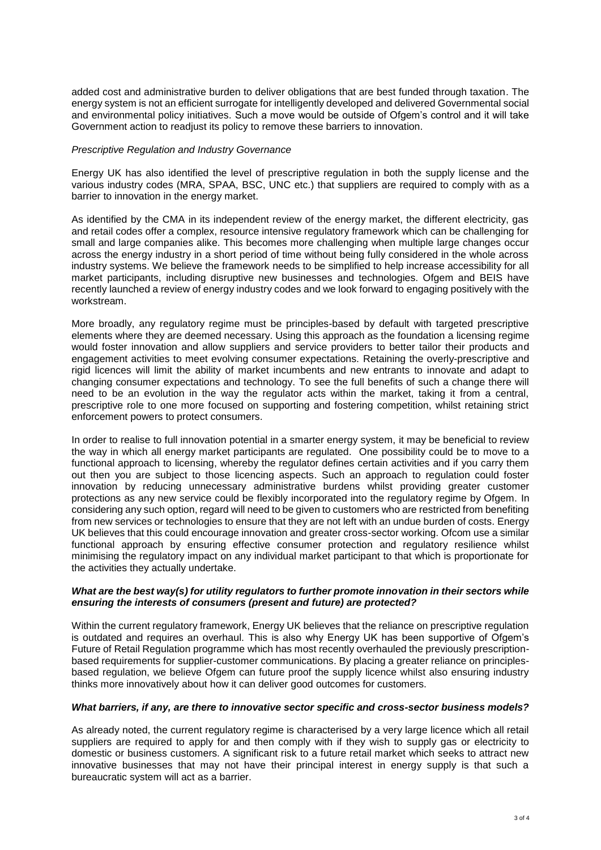added cost and administrative burden to deliver obligations that are best funded through taxation. The energy system is not an efficient surrogate for intelligently developed and delivered Governmental social and environmental policy initiatives. Such a move would be outside of Ofgem's control and it will take Government action to readjust its policy to remove these barriers to innovation.

## *Prescriptive Regulation and Industry Governance*

Energy UK has also identified the level of prescriptive regulation in both the supply license and the various industry codes (MRA, SPAA, BSC, UNC etc.) that suppliers are required to comply with as a barrier to innovation in the energy market.

As identified by the CMA in its independent review of the energy market, the different electricity, gas and retail codes offer a complex, resource intensive regulatory framework which can be challenging for small and large companies alike. This becomes more challenging when multiple large changes occur across the energy industry in a short period of time without being fully considered in the whole across industry systems. We believe the framework needs to be simplified to help increase accessibility for all market participants, including disruptive new businesses and technologies. Ofgem and BEIS have recently launched a review of energy industry codes and we look forward to engaging positively with the workstream.

More broadly, any regulatory regime must be principles-based by default with targeted prescriptive elements where they are deemed necessary. Using this approach as the foundation a licensing regime would foster innovation and allow suppliers and service providers to better tailor their products and engagement activities to meet evolving consumer expectations. Retaining the overly-prescriptive and rigid licences will limit the ability of market incumbents and new entrants to innovate and adapt to changing consumer expectations and technology. To see the full benefits of such a change there will need to be an evolution in the way the regulator acts within the market, taking it from a central, prescriptive role to one more focused on supporting and fostering competition, whilst retaining strict enforcement powers to protect consumers.

In order to realise to full innovation potential in a smarter energy system, it may be beneficial to review the way in which all energy market participants are regulated. One possibility could be to move to a functional approach to licensing, whereby the regulator defines certain activities and if you carry them out then you are subject to those licencing aspects. Such an approach to regulation could foster innovation by reducing unnecessary administrative burdens whilst providing greater customer protections as any new service could be flexibly incorporated into the regulatory regime by Ofgem. In considering any such option, regard will need to be given to customers who are restricted from benefiting from new services or technologies to ensure that they are not left with an undue burden of costs. Energy UK believes that this could encourage innovation and greater cross-sector working. Ofcom use a similar functional approach by ensuring effective consumer protection and regulatory resilience whilst minimising the regulatory impact on any individual market participant to that which is proportionate for the activities they actually undertake.

# *What are the best way(s) for utility regulators to further promote innovation in their sectors while ensuring the interests of consumers (present and future) are protected?*

Within the current regulatory framework, Energy UK believes that the reliance on prescriptive regulation is outdated and requires an overhaul. This is also why Energy UK has been supportive of Ofgem's Future of Retail Regulation programme which has most recently overhauled the previously prescriptionbased requirements for supplier-customer communications. By placing a greater reliance on principlesbased regulation, we believe Ofgem can future proof the supply licence whilst also ensuring industry thinks more innovatively about how it can deliver good outcomes for customers.

# *What barriers, if any, are there to innovative sector specific and cross-sector business models?*

As already noted, the current regulatory regime is characterised by a very large licence which all retail suppliers are required to apply for and then comply with if they wish to supply gas or electricity to domestic or business customers. A significant risk to a future retail market which seeks to attract new innovative businesses that may not have their principal interest in energy supply is that such a bureaucratic system will act as a barrier.